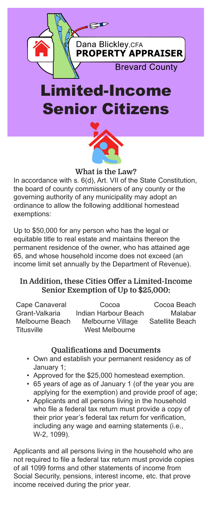

# Senior Citizens



## What is the Law?

In accordance with s. 6(d), Art. VII of the State Constitution, the board of county commissioners of any county or the governing authority of any municipality may adopt an ordinance to allow the following additional homestead exemptions:

Up to \$50,000 for any person who has the legal or equitable title to real estate and maintains thereon the permanent residence of the owner, who has attained age 65, and whose household income does not exceed (an income limit set annually by the Department of Revenue).

# In Addition, these Cities Offer a Limited-Income Senior Exemption of Up to \$25,000:

| Cape Canaveral  | Cocoa                | Cocoa Beach     |
|-----------------|----------------------|-----------------|
| Grant-Valkaria  | Indian Harbour Beach | Malabar         |
| Melbourne Beach | Melbourne Village    | Satellite Beach |
| Titusville      | West Melbourne       |                 |

# Qualifications and Documents

- Own and establish your permanent residency as of January 1;
- Approved for the \$25,000 homestead exemption.
- 65 years of age as of January 1 (of the year you are applying for the exemption) and provide proof of age;
- Applicants and all persons living in the household who file a federal tax return must provide a copy of their prior year's federal tax return for verification, including any wage and earning statements (i.e., W-2, 1099).

Applicants and all persons living in the household who are not required to file a federal tax return must provide copies of all 1099 forms and other statements of income from Social Security, pensions, interest income, etc. that prove income received during the prior year.